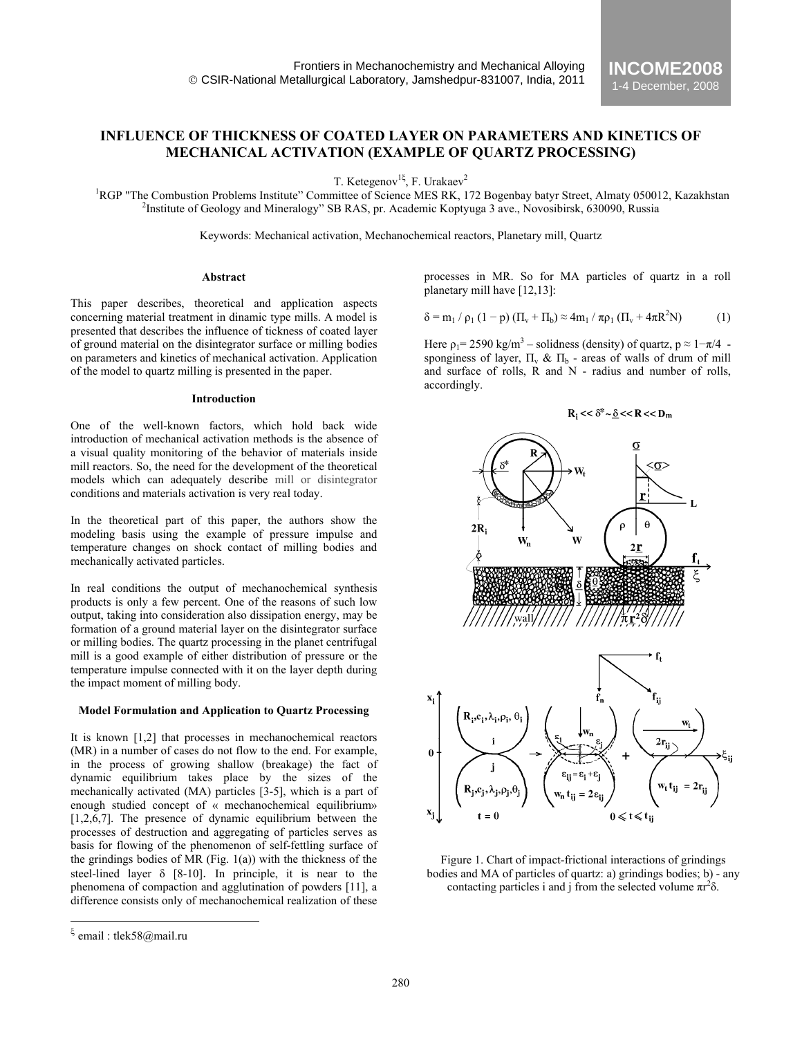# **INFLUENCE OF THICKNESS OF COATED LAYER ON PARAMETERS AND KINETICS OF MECHANICAL ACTIVATION (EXAMPLE OF QUARTZ PROCESSING)**

T. Ketegenov<sup>1ξ</sup>, F. Urakaev<sup>2</sup>

<sup>1</sup>RGP "The Combustion Problems Institute" Committee of Science MES RK, 172 Bogenbay batyr Street, Almaty 050012, Kazakhstan <sup>2</sup><br><sup>2</sup> Partitute of Goology and Minoralogy.<sup>2</sup> SB RAS Br. Acedemic Kontinues 3 ave. Novembirsk, <sup>2</sup>Institute of Geology and Mineralogy" SB RAS, pr. Academic Koptyuga 3 ave., Novosibirsk, 630090, Russia

Keywords: Mechanical activation, Mechanochemical reactors, Planetary mill, Quartz

## **Abstract**

This paper describes, theoretical and application aspects concerning material treatment in dinamic type mills. A model is presented that describes the influence of tickness of coated layer of ground material on the disintegrator surface or milling bodies on parameters and kinetics of mechanical activation. Application of the model to quartz milling is presented in the paper.

#### **Introduction**

One of the well-known factors, which hold back wide introduction of mechanical activation methods is the absence of a visual quality monitoring of the behavior of materials inside mill reactors. So, the need for the development of the theoretical models which can adequately describe mill or disintegrator conditions and materials activation is very real today.

In the theoretical part of this paper, the authors show the modeling basis using the example of pressure impulse and temperature changes on shock contact of milling bodies and mechanically activated particles.

In real conditions the output of mechanochemical synthesis products is only a few percent. One of the reasons of such low output, taking into consideration also dissipation energy, may be formation of a ground material layer on the disintegrator surface or milling bodies. The quartz processing in the planet centrifugal mill is a good example of either distribution of pressure or the temperature impulse connected with it on the layer depth during the impact moment of milling body.

## **Model Formulation and Application to Quartz Processing**

It is known [1,2] that processes in mechanochemical reactors (MR) in a number of cases do not flow to the end. For example, in the process of growing shallow (breakage) the fact of dynamic equilibrium takes place by the sizes of the mechanically activated (MA) particles [3-5], which is a part of enough studied concept of « mechanochemical equilibrium»  $[1,2,6,7]$ . The presence of dynamic equilibrium between the processes of destruction and aggregating of particles serves as basis for flowing of the phenomenon of self-fettling surface of the grindings bodies of MR (Fig. 1(a)) with the thickness of the steel-lined layer  $\delta$  [8-10]. In principle, it is near to the phenomena of compaction and agglutination of powders [11], a difference consists only of mechanochemical realization of these

 $\overline{a}$ 

processes in MR. So for MA particles of quartz in a roll planetary mill have [12,13]:

**INCOME2008** 1-4 December, 2008

$$
\delta = m_1 / \rho_1 (1 - p) (\Pi_v + \Pi_b) \approx 4m_1 / \pi \rho_1 (\Pi_v + 4\pi R^2 N) \tag{1}
$$

Here  $p_1 = 2590 \text{ kg/m}^3$  – solidness (density) of quartz,  $p \approx 1 - \pi/4$  sponginess of layer,  $\Pi_{v} \& \Pi_{b}$  - areas of walls of drum of mill and surface of rolls, R and N - radius and number of rolls, accordingly.



Figure 1. Chart of impact-frictional interactions of grindings bodies and MA of particles of quartz: a) grindings bodies; b) - any contacting particles i and j from the selected volume  $\pi r^2 \delta$ .

email : tlek58@mail.ru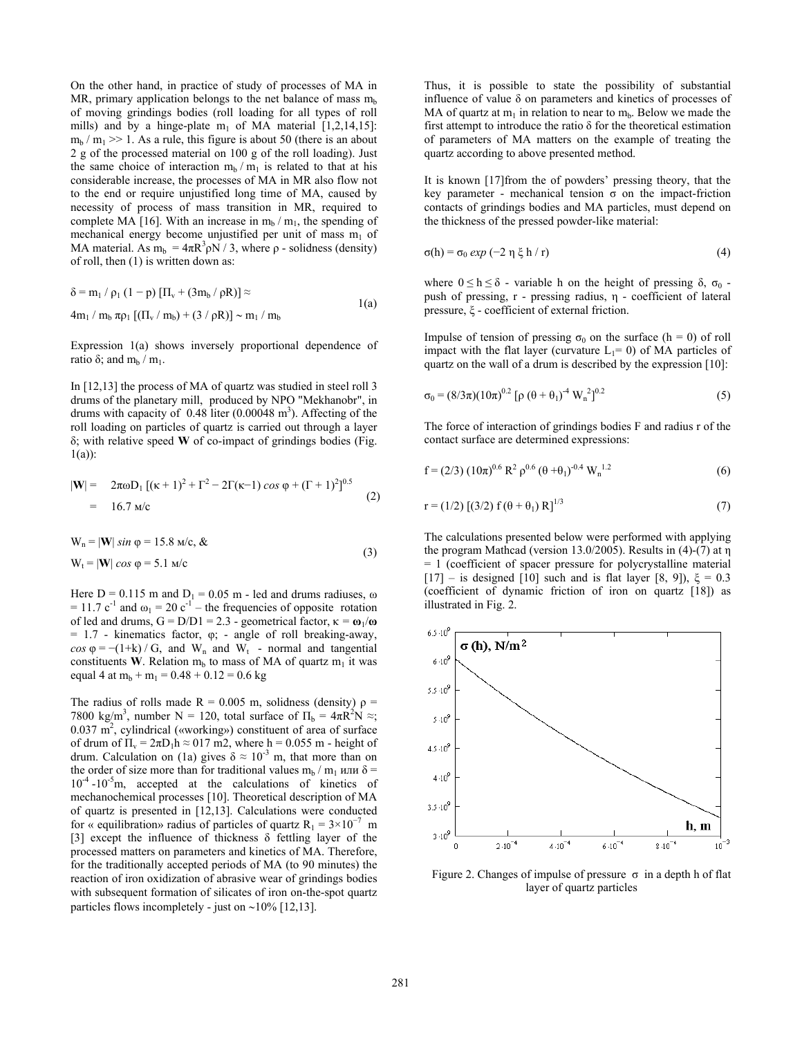On the other hand, in practice of study of processes of MA in MR, primary application belongs to the net balance of mass  $m<sub>b</sub>$ of moving grindings bodies (roll loading for all types of roll mills) and by a hinge-plate  $m_1$  of MA material [1,2,14,15]:  $m_b$  /  $m_1$  >> 1. As a rule, this figure is about 50 (there is an about 2 g of the processed material on 100 g of the roll loading). Just the same choice of interaction  $m_b / m_1$  is related to that at his considerable increase, the processes of MA in MR also flow not to the end or require unjustified long time of MA, caused by necessity of process of mass transition in MR, required to complete MA [16]. With an increase in  $m_b / m_1$ , the spending of mechanical energy become unjustified per unit of mass  $m_1$  of MA material. As  $m_b = 4\pi R^3 \rho N / 3$ , where  $\rho$  - solidness (density) of roll, then (1) is written down as:

$$
\delta = m_1 / \rho_1 (1 - p) [\Pi_v + (3m_b / \rho R)] \approx
$$
  
4m<sub>1</sub> / m<sub>b</sub>  $\pi \rho_1 [(\Pi_v / m_b) + (3 / \rho R)] \sim m_1 / m_b$  1(a)

Expression 1(a) shows inversely proportional dependence of ratio δ; and m<sub>b</sub> / m<sub>1</sub>.

In [12,13] the process of MA of quartz was studied in steel roll 3 drums of the planetary mill, produced by NPO "Mekhanobr", in drums with capacity of  $0.48$  liter  $(0.00048 \text{ m}^3)$ . Affecting of the roll loading on particles of quartz is carried out through a layer δ; with relative speed **W** of co-impact of grindings bodies (Fig.  $1(a)$ :

$$
|\mathbf{W}| = 2\pi\omega D_1 [(\kappa + 1)^2 + \Gamma^2 - 2\Gamma(\kappa - 1) \cos \varphi + (\Gamma + 1)^2]^{0.5}
$$
  
= 16.7 m/c (2)

$$
W_n = |W| \sin \varphi = 15.8 \text{ m/c}, \&
$$
  
\n
$$
W_t = |W| \cos \varphi = 5.1 \text{ m/c}
$$
\n(3)

Here  $D = 0.115$  m and  $D_1 = 0.05$  m - led and drums radiuses,  $\omega$ = 11.7 c<sup>-1</sup> and  $\omega_1$  = 20 c<sup>-1</sup> – the frequencies of opposite rotation of led and drums, G = D/D1 = 2.3 - geometrical factor, κ *=* **ω**1/**ω**  $= 1.7$  - kinematics factor,  $\varphi$ ; - angle of roll breaking-away,  $cos \varphi = -(1+k) / G$ , and W<sub>n</sub> and W<sub>t</sub> - normal and tangential constituents **W**. Relation  $m_b$  to mass of MA of quartz  $m_1$  it was equal 4 at  $m_b + m_1 = 0.48 + 0.12 = 0.6$  kg

The radius of rolls made  $R = 0.005$  m, solidness (density)  $\rho =$ 7800 kg/m<sup>3</sup>, number N = 120, total surface of  $\Pi_b = 4\pi R^2 N \approx$ ;  $0.037 \text{ m}^2$ , cylindrical («working») constituent of area of surface of drum of  $\Pi_v = 2\pi D_1 h \approx 017$  m2, where h = 0.055 m - height of drum. Calculation on (1a) gives  $\delta \approx 10^{-3}$  m, that more than on the order of size more than for traditional values m<sub>b</sub> / m<sub>1</sub> или δ =  $10^{-4}$  -10<sup>-5</sup>m, accepted at the calculations of kinetics of mechanochemical processes [10]. Theoretical description of MA of quartz is presented in [12,13]. Calculations were conducted for « equilibration» radius of particles of quartz  $R_1 = 3 \times 10^{-7}$  m [3] except the influence of thickness δ fettling layer of the processed matters on parameters and kinetics of MA. Therefore, for the traditionally accepted periods of MA (to 90 minutes) the reaction of iron oxidization of abrasive wear of grindings bodies with subsequent formation of silicates of iron on-the-spot quartz particles flows incompletely - just on ∼10% [12,13].

Thus, it is possible to state the possibility of substantial influence of value δ on parameters and kinetics of processes of MA of quartz at  $m_1$  in relation to near to  $m_b$ . Below we made the first attempt to introduce the ratio δ for the theoretical estimation of parameters of MA matters on the example of treating the quartz according to above presented method.

It is known [17]from the of powders' pressing theory, that the key parameter - mechanical tension  $\sigma$  on the impact-friction contacts of grindings bodies and MA particles, must depend on the thickness of the pressed powder-like material:

$$
\sigma(h) = \sigma_0 \exp(-2 \eta \xi h / r) \tag{4}
$$

where  $0 \le h \le \delta$  - variable h on the height of pressing  $\delta$ ,  $\sigma_0$  push of pressing, r - pressing radius, η - coefficient of lateral pressure, ξ - coefficient of external friction.

Impulse of tension of pressing  $\sigma_0$  on the surface (h = 0) of roll impact with the flat layer (curvature  $L_1=0$ ) of MA particles of quartz on the wall of a drum is described by the expression [10]:

$$
\sigma_0 = (8/3\pi)(10\pi)^{0.2} [\rho (\theta + \theta_1)^{-4} W_n^2]^{0.2}
$$
 (5)

The force of interaction of grindings bodies F and radius r of the contact surface are determined expressions:

$$
f = (2/3) (10\pi)^{0.6} R^2 \rho^{0.6} (\theta + \theta_1)^{-0.4} W_n^{1.2}
$$
 (6)

$$
r = (1/2) [(3/2) f (\theta + \theta_1) R]^{1/3}
$$
 (7)

The calculations presented below were performed with applying the program Mathcad (version 13.0/2005). Results in (4)-(7) at η = 1 (coefficient of spacer pressure for polycrystalline material [17] – is designed [10] such and is flat layer [8, 9]),  $\xi = 0.3$ (coefficient of dynamic friction of iron on quartz [18]) as illustrated in Fig. 2.



Figure 2. Changes of impulse of pressure  $\sigma$  in a depth h of flat layer of quartz particles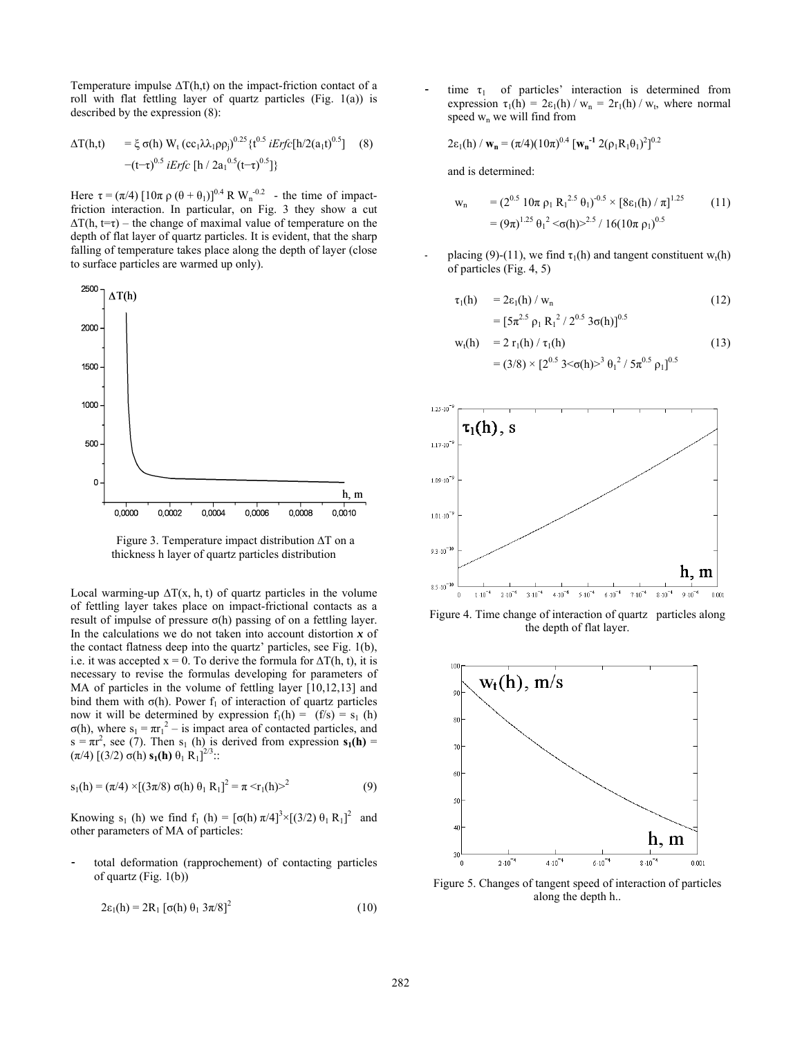Temperature impulse  $\Delta T(h,t)$  on the impact-friction contact of a roll with flat fettling layer of quartz particles (Fig. 1(a)) is described by the expression (8):

$$
\Delta T(h,t) = \xi \sigma(h) W_t (cc_1 \lambda_1 \rho \rho_j)^{0.25} \{t^{0.5} i E r f c [h/2(a_1 t)^{0.5}]
$$
 (8)  
-(t-\tau)<sup>0.5</sup> i E r f c [h / 2a<sub>1</sub><sup>0.5</sup>(t-\tau)<sup>0.5</sup>]\}

Here  $\tau = (\pi/4) [10\pi \rho (\theta + \theta_1)]^{0.4} R W_n^{-0.2}$  - the time of impactfriction interaction. In particular, on Fig. 3 they show a cut  $\Delta T(h, t=\tau)$  – the change of maximal value of temperature on the depth of flat layer of quartz particles. It is evident, that the sharp falling of temperature takes place along the depth of layer (close to surface particles are warmed up only).



 Figure 3. Temperature impact distribution ∆T on a thickness h layer of quartz particles distribution

Local warming-up  $\Delta T(x, h, t)$  of quartz particles in the volume of fettling layer takes place on impact-frictional contacts as a result of impulse of pressure  $\sigma(h)$  passing of on a fettling layer. In the calculations we do not taken into account distortion *x* of the contact flatness deep into the quartz' particles, see Fig. 1(b), i.e. it was accepted  $x = 0$ . To derive the formula for  $\Delta T(h, t)$ , it is necessary to revise the formulas developing for parameters of MA of particles in the volume of fettling layer [10,12,13] and bind them with  $\sigma(h)$ . Power f<sub>1</sub> of interaction of quartz particles now it will be determined by expression  $f_1(h) = (f/s) = s_1(h)$  $σ(h)$ , where  $s_1 = πr_1^2 - is$  impact area of contacted particles, and  $s = \pi r^2$ , see (7). Then s<sub>1</sub> (h) is derived from expression  $s_1(h) =$  $(\pi/4)$  [(3/2)  $\sigma$ (h) **s**<sub>1</sub>(h)  $\theta_1$  R<sub>1</sub>]<sup>2/3</sup>::

$$
s_1(h) = (\pi/4) \times [(3\pi/8) \sigma(h) \theta_1 R_1]^2 = \pi \le r_1(h) >^2
$$
 (9)

Knowing s<sub>1</sub> (h) we find f<sub>1</sub> (h) =  $[\sigma(h) \pi/4]^3 \times [(3/2) \theta_1 R_1]^2$  and other parameters of MA of particles:

total deformation (rapprochement) of contacting particles of quartz (Fig. 1(b))

$$
2\varepsilon_1(h) = 2R_1 [\sigma(h) \theta_1 3\pi/8]^2 \tag{10}
$$

time  $\tau_1$  of particles' interaction is determined from expression  $\tau_1(h) = 2\varepsilon_1(h)/w_n = 2r_1(h)/w_n$ , where normal speed  $w_n$  we will find from

$$
2\epsilon_1(h) / \mathbf{w}_n = (\pi/4)(10\pi)^{0.4} [\mathbf{w}_n^{-1} 2(\rho_1 R_1 \theta_1)^2]^{0.2}
$$

and is determined:

$$
w_n = (2^{0.5} 10\pi \rho_1 R_1^{2.5} \theta_1)^{-0.5} \times [8\epsilon_1(h) / \pi]^{1.25}
$$
 (11)  
=  $(9\pi)^{1.25} \theta_1^2 \ll \sigma(h) > 2.5 / 16(10\pi \rho_1)^{0.5}$ 

placing (9)-(11), we find  $\tau_1(h)$  and tangent constituent w<sub>t</sub>(h) of particles (Fig. 4, 5)

$$
\tau_1(h) = 2\epsilon_1(h) / w_n
$$
  
=  $[\frac{5\pi^{2.5} \rho_1 R_1^2}{2^{0.5} 3\sigma(h)}]^{0.5}$  (12)

$$
w_t(h) = 2 r_1(h) / \tau_1(h)
$$
  
=  $(3/8) \times [2^{0.5} 3 < \sigma(h) >^3 \theta_1^2 / 5 \pi^{0.5} \rho_1]^{0.5}$  (13)



Figure 4. Time change of interaction of quartz particles along the depth of flat layer.



Figure 5. Changes of tangent speed of interaction of particles along the depth h..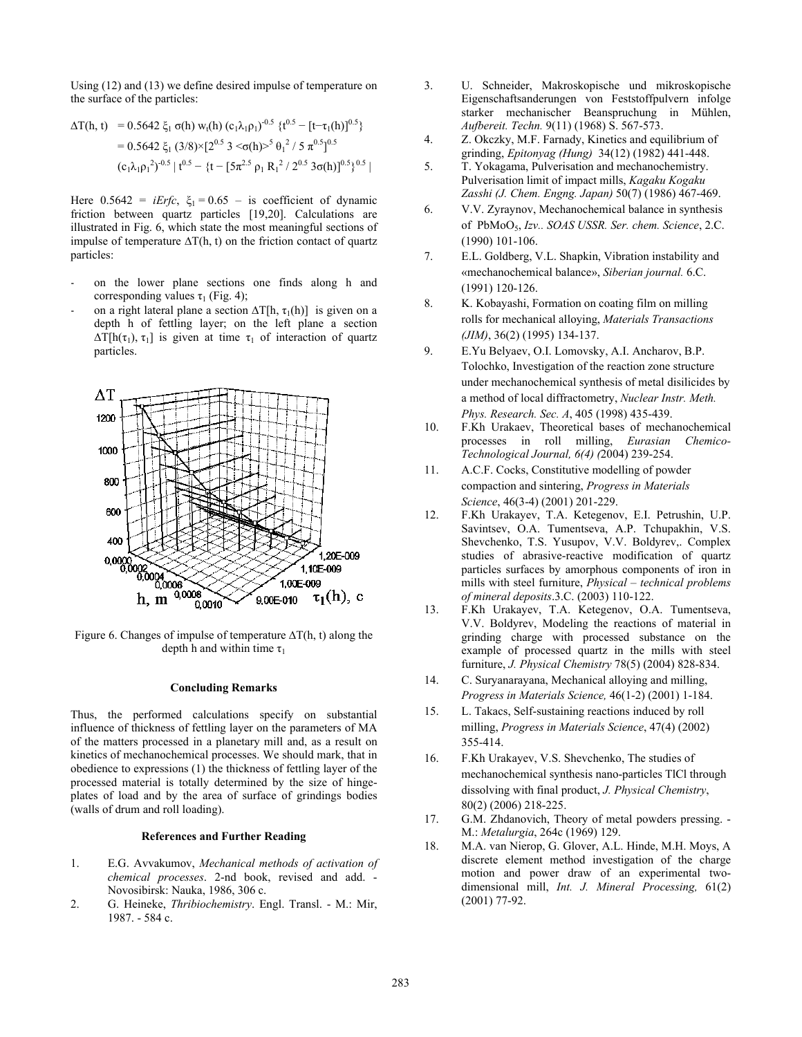Using (12) and (13) we define desired impulse of temperature on the surface of the particles:

$$
\Delta T(h, t) = 0.5642 \xi_1 \sigma(h) w_t(h) (c_1 \lambda_1 \rho_1)^{-0.5} \{t^{0.5} - [t-\tau_1(h)]^{0.5}\}\n= 0.5642 \xi_1 (3/8) \times [2^{0.5} 3 < \sigma(h) >^5 \theta_1^2 / 5 \pi^{0.5}]^{0.5}\n(c_1 \lambda_1 \rho_1^2)^{-0.5} | t^{0.5} - \{t - [5\pi^{2.5} \rho_1 R_1^2 / 2^{0.5} 3\sigma(h)]^{0.5}\}^{0.5} |
$$

Here  $0.5642 = iErfc$ ,  $\xi_1 = 0.65 - i$  is coefficient of dynamic friction between quartz particles [19,20]. Calculations are illustrated in Fig. 6, which state the most meaningful sections of impulse of temperature  $\Delta T(h, t)$  on the friction contact of quartz particles:

- on the lower plane sections one finds along h and corresponding values  $\tau_1$  (Fig. 4);
- on a right lateral plane a section  $\Delta T[h, \tau_1(h)]$  is given on a depth h of fettling layer; on the left plane a section  $\Delta T[h(\tau_1), \tau_1]$  is given at time  $\tau_1$  of interaction of quartz particles.



Figure 6. Changes of impulse of temperature ∆T(h, t) along the depth h and within time  $\tau_1$ 

## **Concluding Remarks**

Thus, the performed calculations specify on substantial influence of thickness of fettling layer on the parameters of MA of the matters processed in a planetary mill and, as a result on kinetics of mechanochemical processes. We should mark, that in obedience to expressions (1) the thickness of fettling layer of the processed material is totally determined by the size of hingeplates of load and by the area of surface of grindings bodies (walls of drum and roll loading).

#### **References and Further Reading**

- 1. E.G. Avvakumov, *Mechanical methods of activation of chemical processes*. 2-nd book, revised and add. - Novosibirsk: Nauka, 1986, 306 с.
- 2. G. Heineke, *Thribiochemistry*. Engl. Transl. М.: Mir, 1987. - 584 с.
- 3. U. Schneider, Makroskopische und mikroskopische Eigenschaftsanderungen von Feststoffpulvern infolge starker mechanischer Beanspruchung in Mühlen, *Aufbereit. Techn.* 9(11) (1968) S. 567-573.
- 4. Z. Okczky, M.F. Farnady, Kinetics and equilibrium of grinding, *Epitonyag (Hung)* 34(12) (1982) 441-448.
- 5. T. Yokagama, Pulverisation and mechanochemistry. Pulverisation limit of impact mills, *Kagaku Kogaku Zasshi (J. Chem. Engng. Japan)* 50(7) (1986) 467-469.
- 6. V.V. Zyraynov, Mechanochemical balance in synthesis of РbМоО5, *Izv.. SОАS USSR. Ser. chem. Science*, 2.C. (1990) 101-106.
- 7. E.L. Goldberg, V.L. Shapkin, Vibration instability and «mechanochemical balance», *Siberian journal.* 6.C. (1991) 120-126.
- 8. K. Kobayashi, Formation on coating film on milling rolls for mechanical alloying, *Materials Transactions (JIM)*, 36(2) (1995) 134-137.
- 9. E.Yu Belyaev, O.I. Lomovsky, A.I. Ancharov, B.P. Tolochko, Investigation of the reaction zone structure under mechanochemical synthesis of metal disilicides by a method of local diffractometry, *Nuclear Instr. Meth. Phys. Research. Sec. A*, 405 (1998) 435-439.
- 10. F.Kh Urakaev, Theoretical bases of mechanochemical processes in roll milling, *Eurasian Chemico-Technological Journal, 6(4) (*2004) 239-254.
- 11. A.C.F. Cocks, Constitutive modelling of powder compaction and sintering, *Progress in Materials Science*, 46(3-4) (2001) 201-229.
- 12. F.Kh Urakayev, T.A. Ketegenov, E.I. Petrushin, U.P. Savintsev, O.A. Tumentseva, A.P. Tchupakhin, V.S. Shevchenko, T.S. Yusupov, V.V. Boldyrev,. Complex studies of abrasive-reactive modification of quartz particles surfaces by amorphous components of iron in mills with steel furniture, *Physical – technical problems of mineral deposits*.3.C. (2003) 110-122.
- 13. F.Kh Urakayev, T.A. Ketegenov, O.A. Tumentseva, V.V. Boldyrev, Modeling the reactions of material in grinding charge with processed substance on the example of processed quartz in the mills with steel furniture, *J. Physical Chemistry* 78(5) (2004) 828-834.
- 14. C. Suryanarayana, Mechanical alloying and milling, *Progress in Materials Science,* 46(1-2) (2001) 1-184.
- 15. L. Takacs, Self-sustaining reactions induced by roll milling, *Progress in Materials Science*, 47(4) (2002) 355-414.
- 16. F.Kh Urakayev, V.S. Shevchenko, The studies of mechanochemical synthesis nano-particles TlCl through dissolving with final product, *J. Physical Chemistry*, 80(2) (2006) 218-225.
- 17. G.M. Zhdanovich, Theory of metal powders pressing. М.: *Mеtalurgia*, 264c (1969) 129.
- 18. M.A. van Nierop, G. Glover, A.L. Hinde, M.H. Moys, A discrete element method investigation of the charge motion and power draw of an experimental twodimensional mill, *Int. J. Mineral Processing,* 61(2) (2001) 77-92.